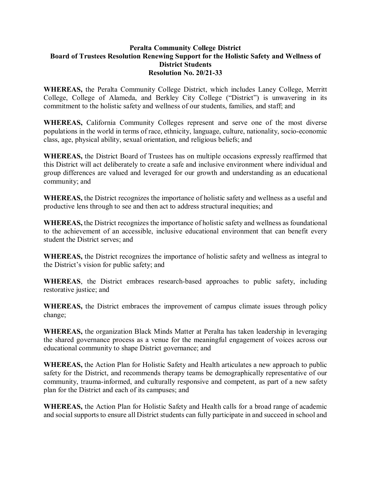## **Peralta Community College District Board of Trustees Resolution Renewing Support for the Holistic Safety and Wellness of District Students Resolution No. 20/21-33**

**WHEREAS,** the Peralta Community College District, which includes Laney College, Merritt College, College of Alameda, and Berkley City College ("District") is unwavering in its commitment to the holistic safety and wellness of our students, families, and staff; and

**WHEREAS,** California Community Colleges represent and serve one of the most diverse populations in the world in terms of race, ethnicity, language, culture, nationality, socio-economic class, age, physical ability, sexual orientation, and religious beliefs; and

**WHEREAS,** the District Board of Trustees has on multiple occasions expressly reaffirmed that this District will act deliberately to create a safe and inclusive environment where individual and group differences are valued and leveraged for our growth and understanding as an educational community; and

**WHEREAS,** the District recognizes the importance of holistic safety and wellness as a useful and productive lens through to see and then act to address structural inequities; and

**WHEREAS,** the District recognizes the importance of holistic safety and wellness as foundational to the achievement of an accessible, inclusive educational environment that can benefit every student the District serves; and

**WHEREAS,** the District recognizes the importance of holistic safety and wellness as integral to the District's vision for public safety; and

**WHEREAS**, the District embraces research-based approaches to public safety, including restorative justice; and

**WHEREAS,** the District embraces the improvement of campus climate issues through policy change;

**WHEREAS,** the organization Black Minds Matter at Peralta has taken leadership in leveraging the shared governance process as a venue for the meaningful engagement of voices across our educational community to shape District governance; and

**WHEREAS,** the Action Plan for Holistic Safety and Health articulates a new approach to public safety for the District, and recommends therapy teams be demographically representative of our community, trauma-informed, and culturally responsive and competent, as part of a new safety plan for the District and each of its campuses; and

**WHEREAS,** the Action Plan for Holistic Safety and Health calls for a broad range of academic and social supports to ensure all District students can fully participate in and succeed in school and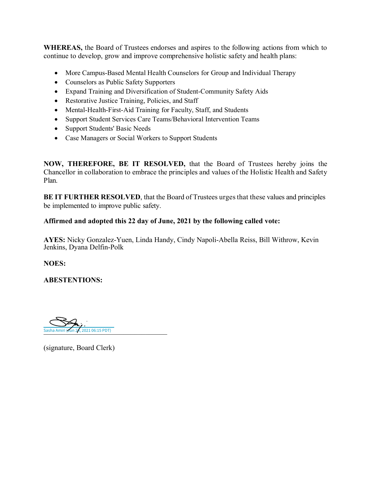**WHEREAS,** the Board of Trustees endorses and aspires to the following actions from which to continue to develop, grow and improve comprehensive holistic safety and health plans:

- More Campus-Based Mental Health Counselors for Group and Individual Therapy
- Counselors as Public Safety Supporters
- Expand Training and Diversification of Student-Community Safety Aids
- Restorative Justice Training, Policies, and Staff
- Mental-Health-First-Aid Training for Faculty, Staff, and Students
- Support Student Services Care Teams/Behavioral Intervention Teams
- Support Students' Basic Needs
- Case Managers or Social Workers to Support Students

**NOW, THEREFORE, BE IT RESOLVED,** that the Board of Trustees hereby joins the Chancellor in collaboration to embrace the principles and values of the Holistic Health and Safety Plan.

**BE IT FURTHER RESOLVED**, that the Board of Trustees urges that these values and principles be implemented to improve public safety.

## **Affirmed and adopted this 22 day of June, 2021 by the following called vote:**

**AYES:** Nicky Gonzalez-Yuen, Linda Handy, Cindy Napoli-Abella Reiss, Bill Withrow, Kevin Jenkins, Dyana Delfin-Polk

**NOES:** 

**ABESTENTIONS:** 

Sasha Amiri (Jun 24, 2021 06:15 PDT)

(signature, Board Clerk)